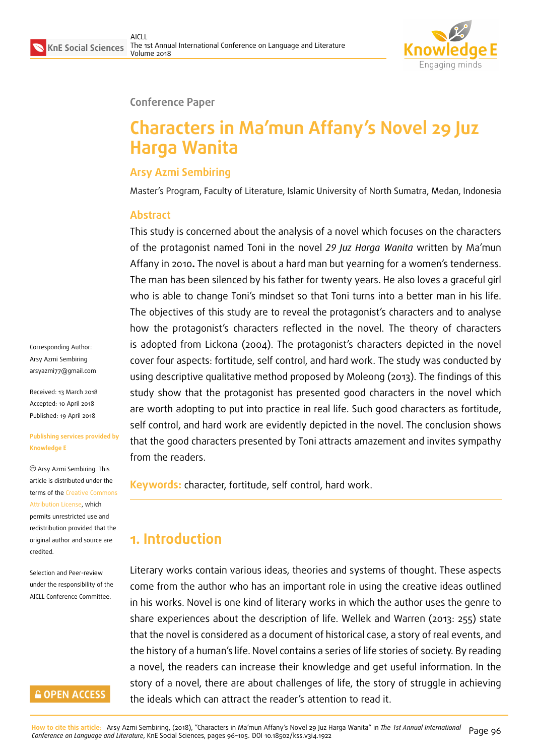

#### **Conference Paper**

# **Characters in Ma'mun Affany's Novel 29 Juz Harga Wanita**

#### **Arsy Azmi Sembiring**

Master's Program, Faculty of Literature, Islamic University of North Sumatra, Medan, Indonesia

#### **Abstract**

This study is concerned about the analysis of a novel which focuses on the characters of the protagonist named Toni in the novel *29 Juz Harga Wanita* written by Ma'mun Affany in 2010**.** The novel is about a hard man but yearning for a women's tenderness. The man has been silenced by his father for twenty years. He also loves a graceful girl who is able to change Toni's mindset so that Toni turns into a better man in his life. The objectives of this study are to reveal the protagonist's characters and to analyse how the protagonist's characters reflected in the novel. The theory of characters is adopted from Lickona (2004). The protagonist's characters depicted in the novel cover four aspects: fortitude, self control, and hard work. The study was conducted by using descriptive qualitative method proposed by Moleong (2013). The findings of this study show that the protagonist has presented good characters in the novel which are worth adopting to put into practice in real life. Such good characters as fortitude, self control, and hard work are evidently depicted in the novel. The conclusion shows that the good characters presented by Toni attracts amazement and invites sympathy from the readers.

**Keywords:** character, fortitude, self control, hard work.

### **1. Introduction**

Literary works contain various ideas, theories and systems of thought. These aspects come from the author who has an important role in using the creative ideas outlined in his works. Novel is one kind of literary works in which the author uses the genre to share experiences about the description of life. Wellek and Warren (2013: 255) state that the novel is considered as a document of historical case, a story of real events, and the history of a human's life. Novel contains a series of life stories of society. By reading a novel, the readers can increase their knowledge and get useful information. In the story of a novel, there are about challenges of life, the story of struggle in achieving the ideals which can attract the reader's attention to read it.

Corresponding Author: Arsy Azmi Sembiring arsyazmi77@gmail.com

Received: 13 March 2018 Accepted: 10 April 2018 [Published: 19 April 2018](mailto:arsyazmi77@gmail.com)

#### **Publishing services provided by Knowledge E**

Arsy Azmi Sembiring. This article is distributed under the terms of the Creative Commons Attribution License, which permits unrestricted use and redistribution provided that the original auth[or and source are](https://creativecommons.org/licenses/by/4.0/) [credited.](https://creativecommons.org/licenses/by/4.0/)

Selection and Peer-review under the responsibility of the AICLL Conference Committee.

### **GOPEN ACCESS**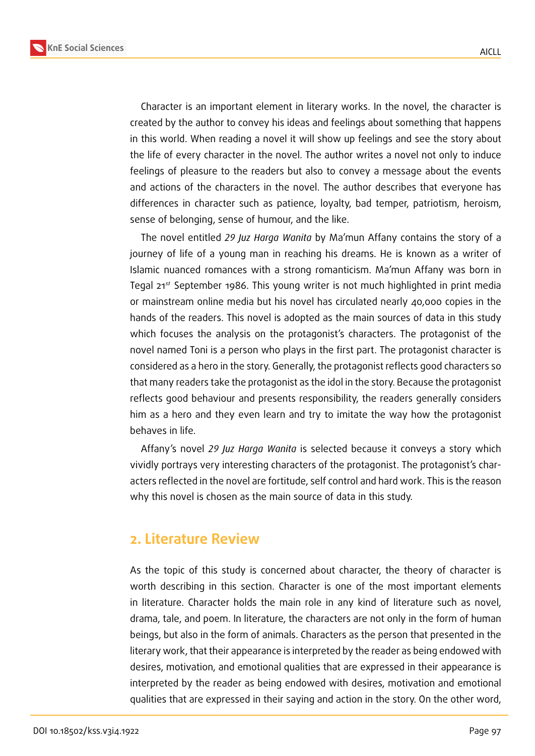



Character is an important element in literary works. In the novel, the character is created by the author to convey his ideas and feelings about something that happens in this world. When reading a novel it will show up feelings and see the story about the life of every character in the novel. The author writes a novel not only to induce feelings of pleasure to the readers but also to convey a message about the events and actions of the characters in the novel. The author describes that everyone has differences in character such as patience, loyalty, bad temper, patriotism, heroism, sense of belonging, sense of humour, and the like.

The novel entitled *29 Juz Harga Wanita* by Ma'mun Affany contains the story of a journey of life of a young man in reaching his dreams. He is known as a writer of Islamic nuanced romances with a strong romanticism. Ma'mun Affany was born in Tegal  $21<sup>st</sup>$  September 1986. This young writer is not much highlighted in print media or mainstream online media but his novel has circulated nearly 40,000 copies in the hands of the readers. This novel is adopted as the main sources of data in this study which focuses the analysis on the protagonist's characters. The protagonist of the novel named Toni is a person who plays in the first part. The protagonist character is considered as a hero in the story. Generally, the protagonist reflects good characters so that many readers take the protagonist as the idol in the story. Because the protagonist reflects good behaviour and presents responsibility, the readers generally considers him as a hero and they even learn and try to imitate the way how the protagonist behaves in life.

Affany's novel *29 Juz Harga Wanita* is selected because it conveys a story which vividly portrays very interesting characters of the protagonist. The protagonist's characters reflected in the novel are fortitude, self control and hard work. This is the reason why this novel is chosen as the main source of data in this study.

### **2. Literature Review**

As the topic of this study is concerned about character, the theory of character is worth describing in this section. Character is one of the most important elements in literature. Character holds the main role in any kind of literature such as novel, drama, tale, and poem. In literature, the characters are not only in the form of human beings, but also in the form of animals. Characters as the person that presented in the literary work, that their appearance is interpreted by the reader as being endowed with desires, motivation, and emotional qualities that are expressed in their appearance is interpreted by the reader as being endowed with desires, motivation and emotional qualities that are expressed in their saying and action in the story. On the other word,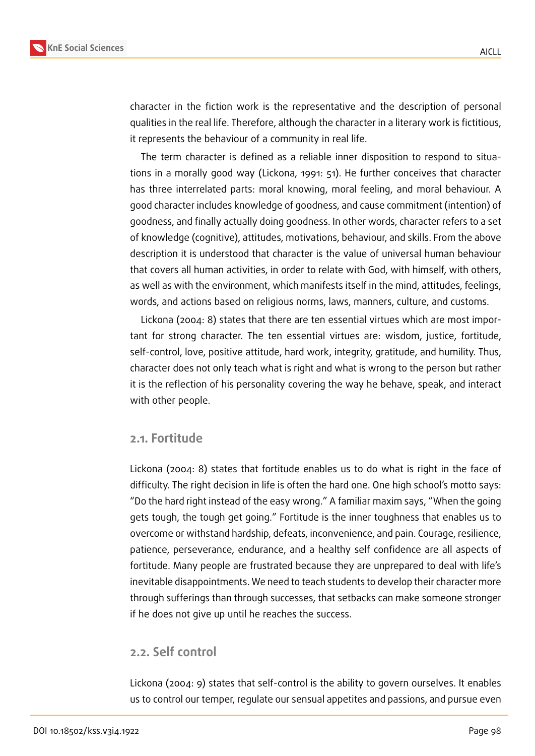

character in the fiction work is the representative and the description of personal qualities in the real life. Therefore, although the character in a literary work is fictitious, it represents the behaviour of a community in real life.

The term character is defined as a reliable inner disposition to respond to situations in a morally good way (Lickona, 1991: 51). He further conceives that character has three interrelated parts: moral knowing, moral feeling, and moral behaviour. A good character includes knowledge of goodness, and cause commitment (intention) of goodness, and finally actually doing goodness. In other words, character refers to a set of knowledge (cognitive), attitudes, motivations, behaviour, and skills. From the above description it is understood that character is the value of universal human behaviour that covers all human activities, in order to relate with God, with himself, with others, as well as with the environment, which manifests itself in the mind, attitudes, feelings, words, and actions based on religious norms, laws, manners, culture, and customs.

Lickona (2004: 8) states that there are ten essential virtues which are most important for strong character. The ten essential virtues are: wisdom, justice, fortitude, self-control, love, positive attitude, hard work, integrity, gratitude, and humility. Thus, character does not only teach what is right and what is wrong to the person but rather it is the reflection of his personality covering the way he behave, speak, and interact with other people.

#### **2.1. Fortitude**

Lickona (2004: 8) states that fortitude enables us to do what is right in the face of difficulty. The right decision in life is often the hard one. One high school's motto says: "Do the hard right instead of the easy wrong." A familiar maxim says, "When the going gets tough, the tough get going." Fortitude is the inner toughness that enables us to overcome or withstand hardship, defeats, inconvenience, and pain. Courage, resilience, patience, perseverance, endurance, and a healthy self confidence are all aspects of fortitude. Many people are frustrated because they are unprepared to deal with life's inevitable disappointments. We need to teach students to develop their character more through sufferings than through successes, that setbacks can make someone stronger if he does not give up until he reaches the success.

### **2.2. Self control**

Lickona (2004: 9) states that self-control is the ability to govern ourselves. It enables us to control our temper, regulate our sensual appetites and passions, and pursue even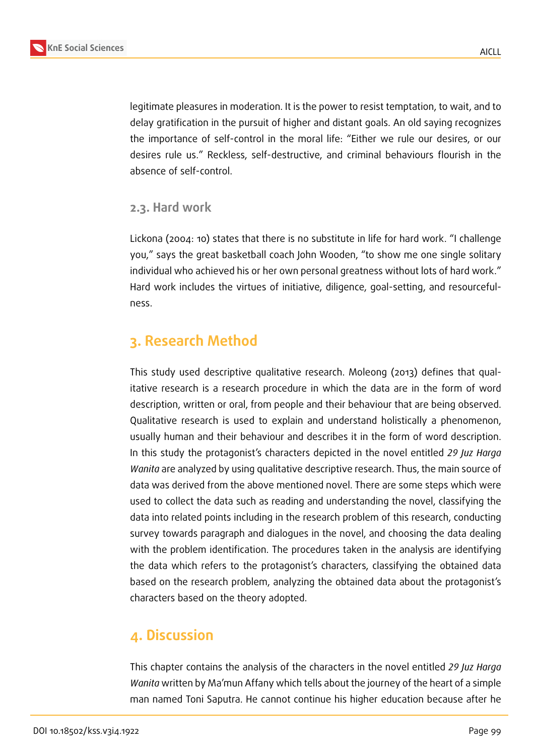legitimate pleasures in moderation. It is the power to resist temptation, to wait, and to delay gratification in the pursuit of higher and distant goals. An old saying recognizes the importance of self-control in the moral life: "Either we rule our desires, or our desires rule us." Reckless, self-destructive, and criminal behaviours flourish in the absence of self-control.

### **2.3. Hard work**

Lickona (2004: 10) states that there is no substitute in life for hard work. "I challenge you," says the great basketball coach John Wooden, "to show me one single solitary individual who achieved his or her own personal greatness without lots of hard work." Hard work includes the virtues of initiative, diligence, goal-setting, and resourcefulness.

## **3. Research Method**

This study used descriptive qualitative research. Moleong (2013) defines that qualitative research is a research procedure in which the data are in the form of word description, written or oral, from people and their behaviour that are being observed. Qualitative research is used to explain and understand holistically a phenomenon, usually human and their behaviour and describes it in the form of word description. In this study the protagonist's characters depicted in the novel entitled *29 Juz Harga Wanita* are analyzed by using qualitative descriptive research. Thus, the main source of data was derived from the above mentioned novel. There are some steps which were used to collect the data such as reading and understanding the novel, classifying the data into related points including in the research problem of this research, conducting survey towards paragraph and dialogues in the novel, and choosing the data dealing with the problem identification. The procedures taken in the analysis are identifying the data which refers to the protagonist's characters, classifying the obtained data based on the research problem, analyzing the obtained data about the protagonist's characters based on the theory adopted.

### **4. Discussion**

This chapter contains the analysis of the characters in the novel entitled *29 Juz Harga Wanita* written by Ma'mun Affany which tells about the journey of the heart of a simple man named Toni Saputra. He cannot continue his higher education because after he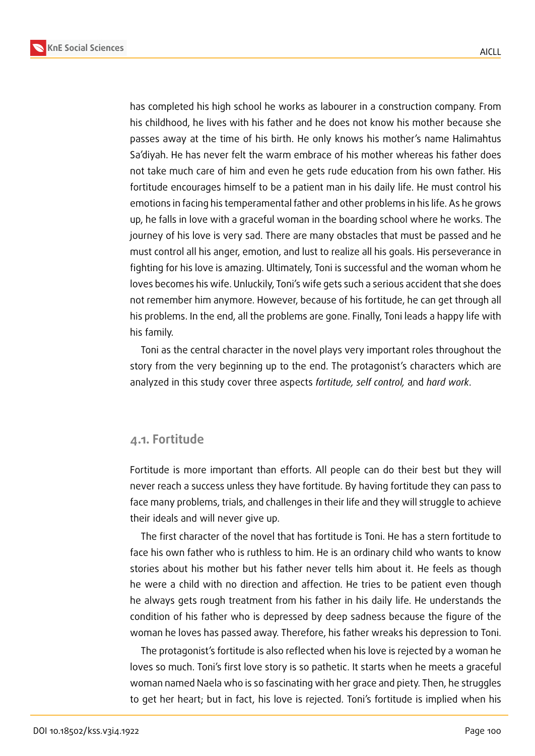**KnE Social Sciences**



has completed his high school he works as labourer in a construction company. From his childhood, he lives with his father and he does not know his mother because she passes away at the time of his birth. He only knows his mother's name Halimahtus Sa'diyah. He has never felt the warm embrace of his mother whereas his father does not take much care of him and even he gets rude education from his own father. His fortitude encourages himself to be a patient man in his daily life. He must control his emotions in facing his temperamental father and other problems in his life. As he grows up, he falls in love with a graceful woman in the boarding school where he works. The journey of his love is very sad. There are many obstacles that must be passed and he must control all his anger, emotion, and lust to realize all his goals. His perseverance in fighting for his love is amazing. Ultimately, Toni is successful and the woman whom he loves becomes his wife. Unluckily, Toni's wife gets such a serious accident that she does not remember him anymore. However, because of his fortitude, he can get through all his problems. In the end, all the problems are gone. Finally, Toni leads a happy life with his family.

Toni as the central character in the novel plays very important roles throughout the story from the very beginning up to the end. The protagonist's characters which are analyzed in this study cover three aspects *fortitude, self control,* and *hard work*.

#### **4.1. Fortitude**

Fortitude is more important than efforts. All people can do their best but they will never reach a success unless they have fortitude. By having fortitude they can pass to face many problems, trials, and challenges in their life and they will struggle to achieve their ideals and will never give up.

The first character of the novel that has fortitude is Toni. He has a stern fortitude to face his own father who is ruthless to him. He is an ordinary child who wants to know stories about his mother but his father never tells him about it. He feels as though he were a child with no direction and affection. He tries to be patient even though he always gets rough treatment from his father in his daily life. He understands the condition of his father who is depressed by deep sadness because the figure of the woman he loves has passed away. Therefore, his father wreaks his depression to Toni.

The protagonist's fortitude is also reflected when his love is rejected by a woman he loves so much. Toni's first love story is so pathetic. It starts when he meets a graceful woman named Naela who is so fascinating with her grace and piety. Then, he struggles to get her heart; but in fact, his love is rejected. Toni's fortitude is implied when his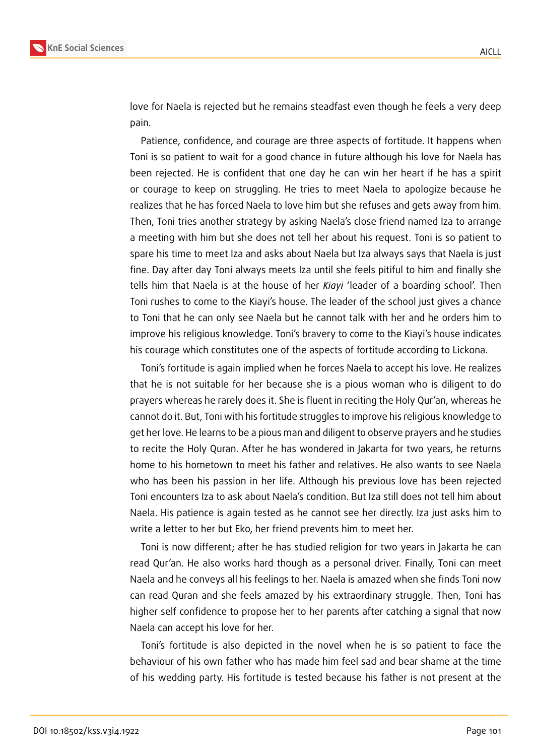

love for Naela is rejected but he remains steadfast even though he feels a very deep pain.

Patience, confidence, and courage are three aspects of fortitude. It happens when Toni is so patient to wait for a good chance in future although his love for Naela has been rejected. He is confident that one day he can win her heart if he has a spirit or courage to keep on struggling. He tries to meet Naela to apologize because he realizes that he has forced Naela to love him but she refuses and gets away from him. Then, Toni tries another strategy by asking Naela's close friend named Iza to arrange a meeting with him but she does not tell her about his request. Toni is so patient to spare his time to meet Iza and asks about Naela but Iza always says that Naela is just fine. Day after day Toni always meets Iza until she feels pitiful to him and finally she tells him that Naela is at the house of her *Kiayi* 'leader of a boarding school'. Then Toni rushes to come to the Kiayi's house. The leader of the school just gives a chance to Toni that he can only see Naela but he cannot talk with her and he orders him to improve his religious knowledge. Toni's bravery to come to the Kiayi's house indicates his courage which constitutes one of the aspects of fortitude according to Lickona.

Toni's fortitude is again implied when he forces Naela to accept his love. He realizes that he is not suitable for her because she is a pious woman who is diligent to do prayers whereas he rarely does it. She is fluent in reciting the Holy Qur'an, whereas he cannot do it. But, Toni with his fortitude struggles to improve his religious knowledge to get her love. He learns to be a pious man and diligent to observe prayers and he studies to recite the Holy Quran. After he has wondered in Jakarta for two years, he returns home to his hometown to meet his father and relatives. He also wants to see Naela who has been his passion in her life. Although his previous love has been rejected Toni encounters Iza to ask about Naela's condition. But Iza still does not tell him about Naela. His patience is again tested as he cannot see her directly. Iza just asks him to write a letter to her but Eko, her friend prevents him to meet her.

Toni is now different; after he has studied religion for two years in Jakarta he can read Qur'an. He also works hard though as a personal driver. Finally, Toni can meet Naela and he conveys all his feelings to her. Naela is amazed when she finds Toni now can read Quran and she feels amazed by his extraordinary struggle. Then, Toni has higher self confidence to propose her to her parents after catching a signal that now Naela can accept his love for her.

Toni's fortitude is also depicted in the novel when he is so patient to face the behaviour of his own father who has made him feel sad and bear shame at the time of his wedding party. His fortitude is tested because his father is not present at the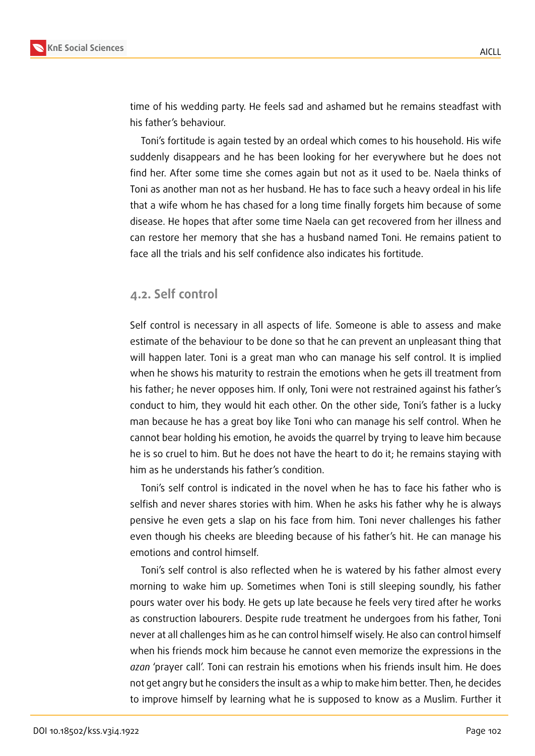

time of his wedding party. He feels sad and ashamed but he remains steadfast with his father's behaviour.

Toni's fortitude is again tested by an ordeal which comes to his household. His wife suddenly disappears and he has been looking for her everywhere but he does not find her. After some time she comes again but not as it used to be. Naela thinks of Toni as another man not as her husband. He has to face such a heavy ordeal in his life that a wife whom he has chased for a long time finally forgets him because of some disease. He hopes that after some time Naela can get recovered from her illness and can restore her memory that she has a husband named Toni. He remains patient to face all the trials and his self confidence also indicates his fortitude.

#### **4.2. Self control**

Self control is necessary in all aspects of life. Someone is able to assess and make estimate of the behaviour to be done so that he can prevent an unpleasant thing that will happen later. Toni is a great man who can manage his self control. It is implied when he shows his maturity to restrain the emotions when he gets ill treatment from his father; he never opposes him. If only, Toni were not restrained against his father's conduct to him, they would hit each other. On the other side, Toni's father is a lucky man because he has a great boy like Toni who can manage his self control. When he cannot bear holding his emotion, he avoids the quarrel by trying to leave him because he is so cruel to him. But he does not have the heart to do it; he remains staying with him as he understands his father's condition.

Toni's self control is indicated in the novel when he has to face his father who is selfish and never shares stories with him. When he asks his father why he is always pensive he even gets a slap on his face from him. Toni never challenges his father even though his cheeks are bleeding because of his father's hit. He can manage his emotions and control himself.

Toni's self control is also reflected when he is watered by his father almost every morning to wake him up. Sometimes when Toni is still sleeping soundly, his father pours water over his body. He gets up late because he feels very tired after he works as construction labourers. Despite rude treatment he undergoes from his father, Toni never at all challenges him as he can control himself wisely. He also can control himself when his friends mock him because he cannot even memorize the expressions in the *azan* 'prayer call'. Toni can restrain his emotions when his friends insult him. He does not get angry but he considers the insult as a whip to make him better. Then, he decides to improve himself by learning what he is supposed to know as a Muslim. Further it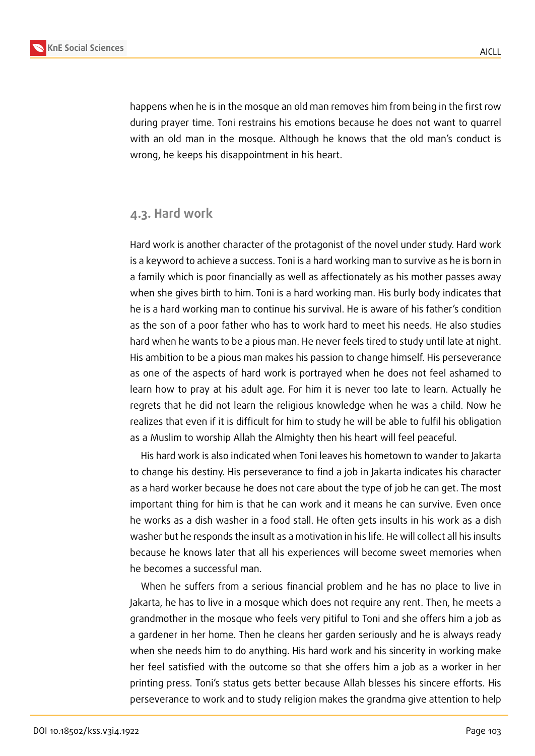

happens when he is in the mosque an old man removes him from being in the first row during prayer time. Toni restrains his emotions because he does not want to quarrel with an old man in the mosque. Although he knows that the old man's conduct is wrong, he keeps his disappointment in his heart.

#### **4.3. Hard work**

Hard work is another character of the protagonist of the novel under study. Hard work is a keyword to achieve a success. Toni is a hard working man to survive as he is born in a family which is poor financially as well as affectionately as his mother passes away when she gives birth to him. Toni is a hard working man. His burly body indicates that he is a hard working man to continue his survival. He is aware of his father's condition as the son of a poor father who has to work hard to meet his needs. He also studies hard when he wants to be a pious man. He never feels tired to study until late at night. His ambition to be a pious man makes his passion to change himself. His perseverance as one of the aspects of hard work is portrayed when he does not feel ashamed to learn how to pray at his adult age. For him it is never too late to learn. Actually he regrets that he did not learn the religious knowledge when he was a child. Now he realizes that even if it is difficult for him to study he will be able to fulfil his obligation as a Muslim to worship Allah the Almighty then his heart will feel peaceful.

His hard work is also indicated when Toni leaves his hometown to wander to Jakarta to change his destiny. His perseverance to find a job in Jakarta indicates his character as a hard worker because he does not care about the type of job he can get. The most important thing for him is that he can work and it means he can survive. Even once he works as a dish washer in a food stall. He often gets insults in his work as a dish washer but he responds the insult as a motivation in his life. He will collect all his insults because he knows later that all his experiences will become sweet memories when he becomes a successful man.

When he suffers from a serious financial problem and he has no place to live in Jakarta, he has to live in a mosque which does not require any rent. Then, he meets a grandmother in the mosque who feels very pitiful to Toni and she offers him a job as a gardener in her home. Then he cleans her garden seriously and he is always ready when she needs him to do anything. His hard work and his sincerity in working make her feel satisfied with the outcome so that she offers him a job as a worker in her printing press. Toni's status gets better because Allah blesses his sincere efforts. His perseverance to work and to study religion makes the grandma give attention to help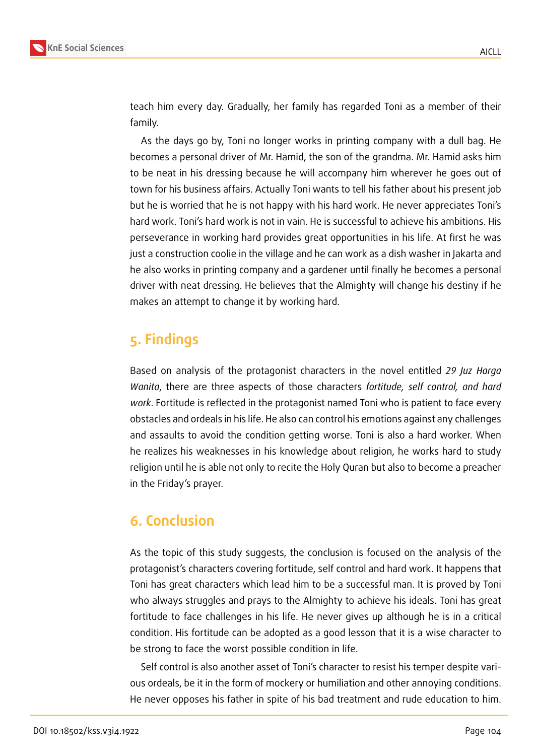

teach him every day. Gradually, her family has regarded Toni as a member of their family.

As the days go by, Toni no longer works in printing company with a dull bag. He becomes a personal driver of Mr. Hamid, the son of the grandma. Mr. Hamid asks him to be neat in his dressing because he will accompany him wherever he goes out of town for his business affairs. Actually Toni wants to tell his father about his present job but he is worried that he is not happy with his hard work. He never appreciates Toni's hard work. Toni's hard work is not in vain. He is successful to achieve his ambitions. His perseverance in working hard provides great opportunities in his life. At first he was just a construction coolie in the village and he can work as a dish washer in Jakarta and he also works in printing company and a gardener until finally he becomes a personal driver with neat dressing. He believes that the Almighty will change his destiny if he makes an attempt to change it by working hard.

## **5. Findings**

Based on analysis of the protagonist characters in the novel entitled *29 Juz Harga Wanita*, there are three aspects of those characters *fortitude, self control, and hard work*. Fortitude is reflected in the protagonist named Toni who is patient to face every obstacles and ordeals in his life. He also can control his emotions against any challenges and assaults to avoid the condition getting worse. Toni is also a hard worker. When he realizes his weaknesses in his knowledge about religion, he works hard to study religion until he is able not only to recite the Holy Quran but also to become a preacher in the Friday's prayer.

## **6. Conclusion**

As the topic of this study suggests, the conclusion is focused on the analysis of the protagonist's characters covering fortitude, self control and hard work. It happens that Toni has great characters which lead him to be a successful man. It is proved by Toni who always struggles and prays to the Almighty to achieve his ideals. Toni has great fortitude to face challenges in his life. He never gives up although he is in a critical condition. His fortitude can be adopted as a good lesson that it is a wise character to be strong to face the worst possible condition in life.

Self control is also another asset of Toni's character to resist his temper despite various ordeals, be it in the form of mockery or humiliation and other annoying conditions. He never opposes his father in spite of his bad treatment and rude education to him.